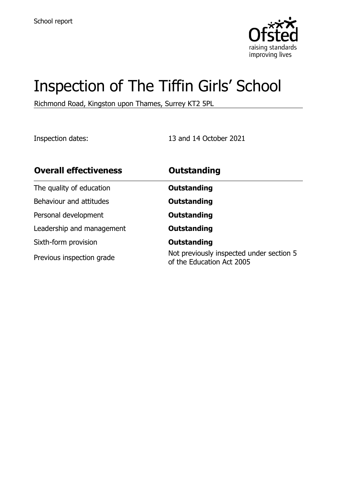

# Inspection of The Tiffin Girls' School

Richmond Road, Kingston upon Thames, Surrey KT2 5PL

Inspection dates: 13 and 14 October 2021

| <b>Overall effectiveness</b> | <b>Outstanding</b>                                                    |
|------------------------------|-----------------------------------------------------------------------|
| The quality of education     | <b>Outstanding</b>                                                    |
| Behaviour and attitudes      | <b>Outstanding</b>                                                    |
| Personal development         | <b>Outstanding</b>                                                    |
| Leadership and management    | <b>Outstanding</b>                                                    |
| Sixth-form provision         | <b>Outstanding</b>                                                    |
| Previous inspection grade    | Not previously inspected under section 5<br>of the Education Act 2005 |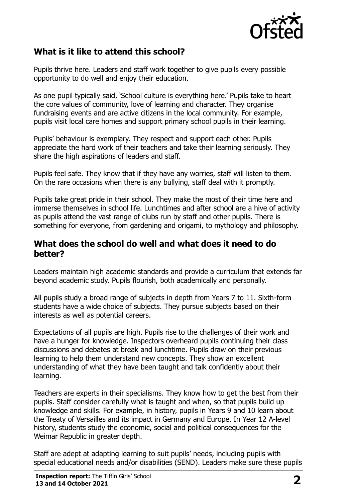

# **What is it like to attend this school?**

Pupils thrive here. Leaders and staff work together to give pupils every possible opportunity to do well and enjoy their education.

As one pupil typically said, 'School culture is everything here.' Pupils take to heart the core values of community, love of learning and character. They organise fundraising events and are active citizens in the local community. For example, pupils visit local care homes and support primary school pupils in their learning.

Pupils' behaviour is exemplary. They respect and support each other. Pupils appreciate the hard work of their teachers and take their learning seriously. They share the high aspirations of leaders and staff.

Pupils feel safe. They know that if they have any worries, staff will listen to them. On the rare occasions when there is any bullying, staff deal with it promptly.

Pupils take great pride in their school. They make the most of their time here and immerse themselves in school life. Lunchtimes and after school are a hive of activity as pupils attend the vast range of clubs run by staff and other pupils. There is something for everyone, from gardening and origami, to mythology and philosophy.

#### **What does the school do well and what does it need to do better?**

Leaders maintain high academic standards and provide a curriculum that extends far beyond academic study. Pupils flourish, both academically and personally.

All pupils study a broad range of subjects in depth from Years 7 to 11. Sixth-form students have a wide choice of subjects. They pursue subjects based on their interests as well as potential careers.

Expectations of all pupils are high. Pupils rise to the challenges of their work and have a hunger for knowledge. Inspectors overheard pupils continuing their class discussions and debates at break and lunchtime. Pupils draw on their previous learning to help them understand new concepts. They show an excellent understanding of what they have been taught and talk confidently about their learning.

Teachers are experts in their specialisms. They know how to get the best from their pupils. Staff consider carefully what is taught and when, so that pupils build up knowledge and skills. For example, in history, pupils in Years 9 and 10 learn about the Treaty of Versailles and its impact in Germany and Europe. In Year 12 A-level history, students study the economic, social and political consequences for the Weimar Republic in greater depth.

Staff are adept at adapting learning to suit pupils' needs, including pupils with special educational needs and/or disabilities (SEND). Leaders make sure these pupils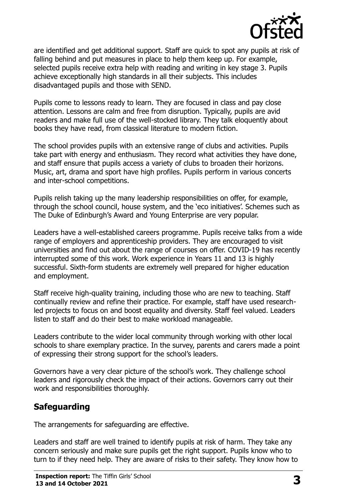

are identified and get additional support. Staff are quick to spot any pupils at risk of falling behind and put measures in place to help them keep up. For example, selected pupils receive extra help with reading and writing in key stage 3. Pupils achieve exceptionally high standards in all their subjects. This includes disadvantaged pupils and those with SEND.

Pupils come to lessons ready to learn. They are focused in class and pay close attention. Lessons are calm and free from disruption. Typically, pupils are avid readers and make full use of the well-stocked library. They talk eloquently about books they have read, from classical literature to modern fiction.

The school provides pupils with an extensive range of clubs and activities. Pupils take part with energy and enthusiasm. They record what activities they have done, and staff ensure that pupils access a variety of clubs to broaden their horizons. Music, art, drama and sport have high profiles. Pupils perform in various concerts and inter-school competitions.

Pupils relish taking up the many leadership responsibilities on offer, for example, through the school council, house system, and the 'eco initiatives'. Schemes such as The Duke of Edinburgh's Award and Young Enterprise are very popular.

Leaders have a well-established careers programme. Pupils receive talks from a wide range of employers and apprenticeship providers. They are encouraged to visit universities and find out about the range of courses on offer. COVID-19 has recently interrupted some of this work. Work experience in Years 11 and 13 is highly successful. Sixth-form students are extremely well prepared for higher education and employment.

Staff receive high-quality training, including those who are new to teaching. Staff continually review and refine their practice. For example, staff have used researchled projects to focus on and boost equality and diversity. Staff feel valued. Leaders listen to staff and do their best to make workload manageable.

Leaders contribute to the wider local community through working with other local schools to share exemplary practice. In the survey, parents and carers made a point of expressing their strong support for the school's leaders.

Governors have a very clear picture of the school's work. They challenge school leaders and rigorously check the impact of their actions. Governors carry out their work and responsibilities thoroughly.

# **Safeguarding**

The arrangements for safeguarding are effective.

Leaders and staff are well trained to identify pupils at risk of harm. They take any concern seriously and make sure pupils get the right support. Pupils know who to turn to if they need help. They are aware of risks to their safety. They know how to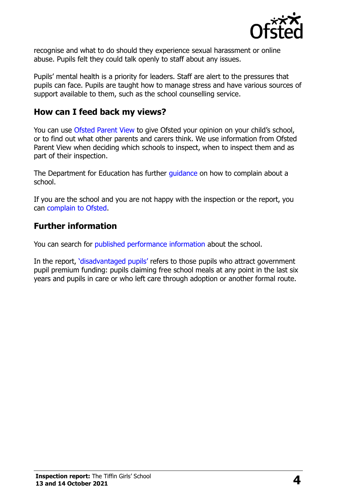

recognise and what to do should they experience sexual harassment or online abuse. Pupils felt they could talk openly to staff about any issues.

Pupils' mental health is a priority for leaders. Staff are alert to the pressures that pupils can face. Pupils are taught how to manage stress and have various sources of support available to them, such as the school counselling service.

### **How can I feed back my views?**

You can use [Ofsted Parent View](http://parentview.ofsted.gov.uk/) to give Ofsted your opinion on your child's school, or to find out what other parents and carers think. We use information from Ofsted Parent View when deciding which schools to inspect, when to inspect them and as part of their inspection.

The Department for Education has further quidance on how to complain about a school.

If you are the school and you are not happy with the inspection or the report, you can [complain to Ofsted.](http://www.gov.uk/complain-ofsted-report)

#### **Further information**

You can search for [published performance information](http://www.compare-school-performance.service.gov.uk/) about the school.

In the report, '[disadvantaged pupils](http://www.gov.uk/guidance/pupil-premium-information-for-schools-and-alternative-provision-settings)' refers to those pupils who attract government pupil premium funding: pupils claiming free school meals at any point in the last six years and pupils in care or who left care through adoption or another formal route.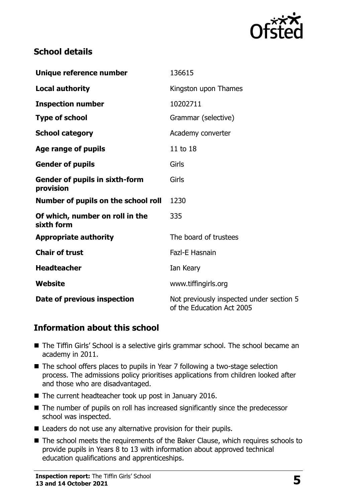

# **School details**

| Unique reference number                            | 136615                                                                |
|----------------------------------------------------|-----------------------------------------------------------------------|
| <b>Local authority</b>                             | Kingston upon Thames                                                  |
| <b>Inspection number</b>                           | 10202711                                                              |
| <b>Type of school</b>                              | Grammar (selective)                                                   |
| <b>School category</b>                             | Academy converter                                                     |
| Age range of pupils                                | 11 to 18                                                              |
| <b>Gender of pupils</b>                            | Girls                                                                 |
| <b>Gender of pupils in sixth-form</b><br>provision | Girls                                                                 |
| Number of pupils on the school roll                | 1230                                                                  |
| Of which, number on roll in the<br>sixth form      | 335                                                                   |
| <b>Appropriate authority</b>                       | The board of trustees                                                 |
| <b>Chair of trust</b>                              | Fazl-E Hasnain                                                        |
| <b>Headteacher</b>                                 | Ian Keary                                                             |
| Website                                            | www.tiffingirls.org                                                   |
| Date of previous inspection                        | Not previously inspected under section 5<br>of the Education Act 2005 |

# **Information about this school**

- The Tiffin Girls' School is a selective girls grammar school. The school became an academy in 2011.
- The school offers places to pupils in Year 7 following a two-stage selection process. The admissions policy prioritises applications from children looked after and those who are disadvantaged.
- The current headteacher took up post in January 2016.
- The number of pupils on roll has increased significantly since the predecessor school was inspected.
- Leaders do not use any alternative provision for their pupils.
- The school meets the requirements of the Baker Clause, which requires schools to provide pupils in Years 8 to 13 with information about approved technical education qualifications and apprenticeships.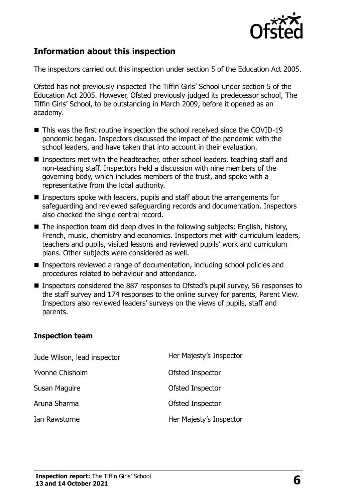

# **Information about this inspection**

The inspectors carried out this inspection under section 5 of the Education Act 2005.

Ofsted has not previously inspected The Tiffin Girls' School under section 5 of the Education Act 2005. However, Ofsted previously judged its predecessor school, The Tiffin Girls' School, to be outstanding in March 2009, before it opened as an academy.

- This was the first routine inspection the school received since the COVID-19 pandemic began. Inspectors discussed the impact of the pandemic with the school leaders, and have taken that into account in their evaluation.
- Inspectors met with the headteacher, other school leaders, teaching staff and non-teaching staff. Inspectors held a discussion with nine members of the governing body, which includes members of the trust, and spoke with a representative from the local authority.
- **Inspectors spoke with leaders, pupils and staff about the arrangements for** safeguarding and reviewed safeguarding records and documentation. Inspectors also checked the single central record.
- $\blacksquare$  The inspection team did deep dives in the following subjects: English, history, French, music, chemistry and economics. Inspectors met with curriculum leaders, teachers and pupils, visited lessons and reviewed pupils' work and curriculum plans. Other subjects were considered as well.
- Inspectors reviewed a range of documentation, including school policies and procedures related to behaviour and attendance.
- Inspectors considered the 887 responses to Ofsted's pupil survey, 56 responses to the staff survey and 174 responses to the online survey for parents, Parent View. Inspectors also reviewed leaders' surveys on the views of pupils, staff and parents.

#### **Inspection team**

| Jude Wilson, lead inspector | Her Majesty's Inspector |
|-----------------------------|-------------------------|
| Yvonne Chisholm             | Ofsted Inspector        |
| Susan Maguire               | Ofsted Inspector        |
| Aruna Sharma                | Ofsted Inspector        |
| Ian Rawstorne               | Her Majesty's Inspector |